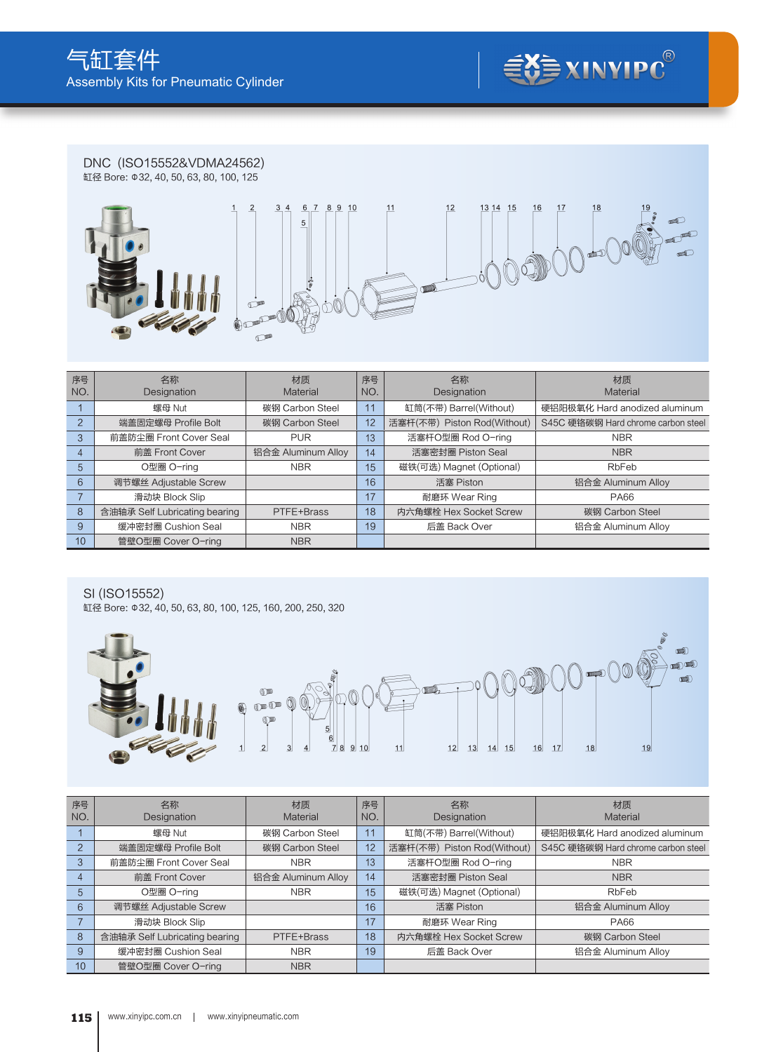

DNC (ISO15552&VDMA24562) 缸径 Bore: Φ32, 40, 50, 63, 80, 100, 125  $\overline{2}$  $\frac{3}{4}$  $678910$  $11$  $12$  $1314$  15  $\overline{1}$ 16 17  $18$  $\overline{5}$ do  $\sqrt{\hat{C}}$ ۱Ò ŀ  $\sqrt{2}$  $\sigma$ Á  $\sqrt{2}$  $\mathbb{C}^n$ 

| 序号<br>NO. | 名称<br>Designation             | 材质<br>Material     | 序号<br>NO. | 名称<br>Designation           | 材质<br>Material                     |
|-----------|-------------------------------|--------------------|-----------|-----------------------------|------------------------------------|
|           | 螺母 Nut                        | 碳钢 Carbon Steel    | 11        | 缸筒(不带) Barrel(Without)      | 硬铝阳极氧化 Hard anodized aluminum      |
|           | 端盖固定螺母 Profile Bolt           | 碳钢 Carbon Steel    | 12        | 活塞杆(不带) Piston Rod(Without) | S45C 硬铬碳钢 Hard chrome carbon steel |
| 3         | 前盖防尘圈 Front Cover Seal        | <b>PUR</b>         | 13        | 活塞杆O型圈 Rod O-ring           | <b>NBR</b>                         |
| 4         | 前盖 Front Cover                | 铝合金 Aluminum Alloy | 14        | 活塞密封圈 Piston Seal           | <b>NBR</b>                         |
| 5         | O型圈 O-ring                    | <b>NBR</b>         | 15        | 磁铁(可选) Magnet (Optional)    | RbFeb                              |
| 6         | 调节螺丝 Adiustable Screw         |                    | 16        | 活塞 Piston                   | 铝合金 Aluminum Alloy                 |
|           | 滑动块 Block Slip                |                    | 17        | 耐磨环 Wear Ring               | <b>PA66</b>                        |
| 8         | 含油轴承 Self Lubricating bearing | PTFE+Brass         | 18        | 内六角螺栓 Hex Socket Screw      | 碳钢 Carbon Steel                    |
| 9         | 缓冲密封圈 Cushion Seal            | <b>NBR</b>         | 19        | 后盖 Back Over                | 铝合金 Aluminum Alloy                 |
| 10        | 管壁O型圈 Cover O-ring            | <b>NBR</b>         |           |                             |                                    |

SI (ISO15552)

缸径 Bore: Φ32, 40, 50, 63, 80, 100, 125, 160, 200, 250, 320



| 序号<br>NO.      | 名称<br><b>Designation</b>      | 材质<br>Material     | 序号<br>NO. | 名称<br>Designation           | 材质<br>Material                     |
|----------------|-------------------------------|--------------------|-----------|-----------------------------|------------------------------------|
|                | 螺母 Nut                        | 碳钢 Carbon Steel    | 11        | 缸筒(不带) Barrel(Without)      | 硬铝阳极氧化 Hard anodized aluminum      |
| $\mathfrak{p}$ | 端盖固定螺母 Profile Bolt           | 碳钢 Carbon Steel    | 12        | 活塞杆(不带) Piston Rod(Without) | S45C 硬铬碳钢 Hard chrome carbon steel |
| 3              | 前盖防尘圈 Front Cover Seal        | <b>NBR</b>         | 13        | 活塞杆O型圈 Rod O-ring           | <b>NBR</b>                         |
| 4              | 前盖 Front Cover                | 铝合金 Aluminum Alloy | 14        | 活塞密封圈 Piston Seal           | <b>NBR</b>                         |
| $\overline{5}$ | O型圈 O-ring                    | <b>NBR</b>         | 15        | 磁铁(可选) Magnet (Optional)    | RbFeb                              |
| 6              | 调节螺丝 Adjustable Screw         |                    | 16        | 活塞 Piston                   | 铝合金 Aluminum Alloy                 |
|                | 滑动块 Block Slip                |                    | 17        | 耐磨环 Wear Ring               | <b>PA66</b>                        |
| 8              | 含油轴承 Self Lubricating bearing | PTFE+Brass         | 18        | 内六角螺栓 Hex Socket Screw      | 碳钢 Carbon Steel                    |
| 9              | 缓冲密封圈 Cushion Seal            | <b>NBR</b>         | 19        | 后盖 Back Over                | 铝合金 Aluminum Alloy                 |
| 10             | 管壁O型圈 Cover O-ring            | <b>NBR</b>         |           |                             |                                    |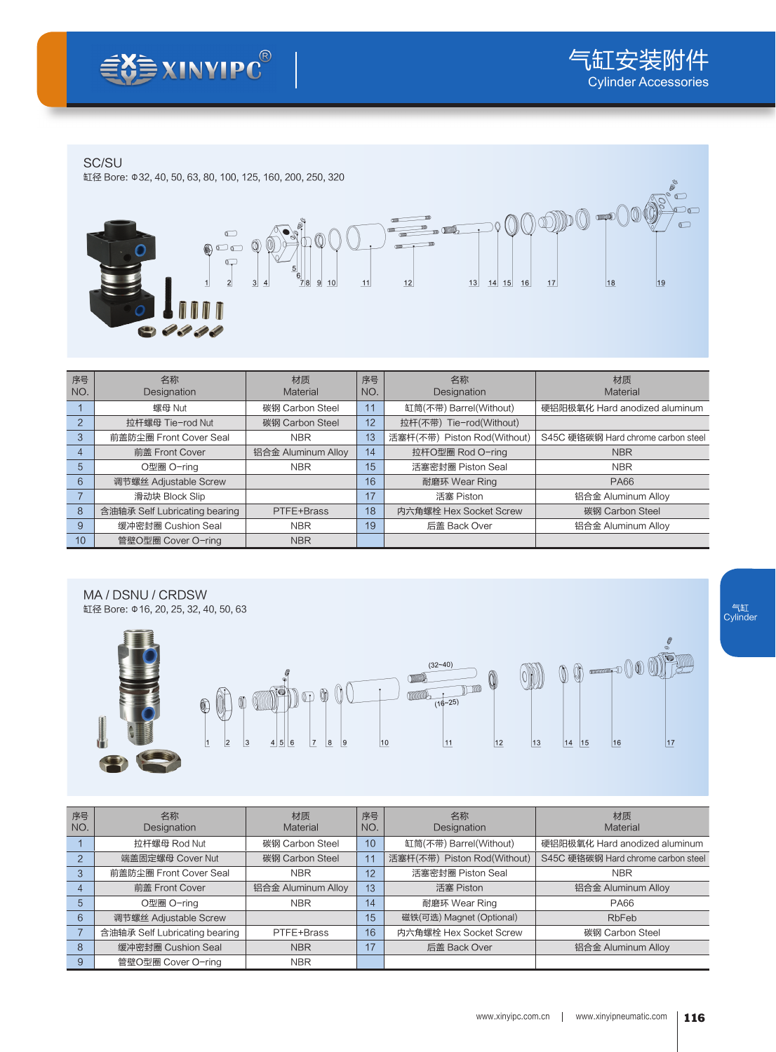## SC/SU

缸径 Bore: Φ32, 40, 50, 63, 80, 100, 125, 160, 200, 250, 320



| 序号<br>NO.      | 名称<br>Designation             | 材质<br>Material     | 序号<br>NO. | 名称<br>Designation           | 材质<br>Material                     |
|----------------|-------------------------------|--------------------|-----------|-----------------------------|------------------------------------|
|                | 螺母 Nut                        | 碳钢 Carbon Steel    | 11        | 缸筒(不带) Barrel(Without)      | 硬铝阳极氧化 Hard anodized aluminum      |
| $\overline{2}$ | 拉杆螺母 Tie-rod Nut              | 碳钢 Carbon Steel    | 12        | 拉杆(不带) Tie-rod(Without)     |                                    |
| 3              | 前盖防尘圈 Front Cover Seal        | <b>NBR</b>         | 13        | 活塞杆(不带) Piston Rod(Without) | S45C 硬铬碳钢 Hard chrome carbon steel |
| 4              | 前盖 Front Cover                | 铝合金 Aluminum Alloy | 14        | 拉杆O型圈 Rod O-ring            | <b>NBR</b>                         |
| 5              | O型圈 O-rina                    | <b>NBR</b>         | 15        | 活塞密封圈 Piston Seal           | <b>NBR</b>                         |
| 6              | 调节螺丝 Adjustable Screw         |                    | 16        | 耐磨环 Wear Ring               | <b>PA66</b>                        |
|                | 滑动块 Block Slip                |                    | 17        | 活塞 Piston                   | 铝合金 Aluminum Alloy                 |
| 8              | 含油轴承 Self Lubricating bearing | PTFE+Brass         | 18        | 内六角螺栓 Hex Socket Screw      | 碳钢 Carbon Steel                    |
| 9              | 缓冲密封圈 Cushion Seal            | <b>NBR</b>         | 19        | 后盖 Back Over                | 铝合金 Aluminum Alloy                 |
| 10             | 管壁O型圈 Cover O-ring            | <b>NBR</b>         |           |                             |                                    |



| 序号<br>NO.                | 名称<br>Designation             | 材质<br>Material     | 序号<br>NO. | 名称<br>Designation           | 材质<br>Material                     |
|--------------------------|-------------------------------|--------------------|-----------|-----------------------------|------------------------------------|
|                          | 拉杆螺母 Rod Nut                  | 碳钢 Carbon Steel    | 10        | 缸筒(不带) Barrel(Without)      | 硬铝阳极氧化 Hard anodized aluminum      |
| $\overline{\phantom{0}}$ | 端盖固定螺母 Cover Nut              | 碳钢 Carbon Steel    | 11        | 活塞杆(不带) Piston Rod(Without) | S45C 硬铬碳钢 Hard chrome carbon steel |
| 3                        | 前盖防尘圈 Front Cover Seal        | <b>NBR</b>         | 12        | 活塞密封圈 Piston Seal           | <b>NBR</b>                         |
| $\overline{4}$           | 前盖 Front Cover                | 铝合金 Aluminum Alloy | 13        | 活塞 Piston                   | 铝合金 Aluminum Alloy                 |
| 5                        | O型圈 O-ring                    | <b>NBR</b>         | 14        | 耐磨环 Wear Ring               | <b>PA66</b>                        |
| 6                        | 调节螺丝 Adjustable Screw         |                    | 15        | 磁铁(可选) Magnet (Optional)    | RbFeb                              |
|                          | 含油轴承 Self Lubricating bearing | PTFE+Brass         | 16        | 内六角螺栓 Hex Socket Screw      | 碳钢 Carbon Steel                    |
| 8                        | 缓冲密封圈 Cushion Seal            | <b>NBR</b>         | 17        | 后盖 Back Over                | 铝合金 Aluminum Alloy                 |
| 9                        | 管壁O型圈 Cover O-ring            | <b>NBR</b>         |           |                             |                                    |